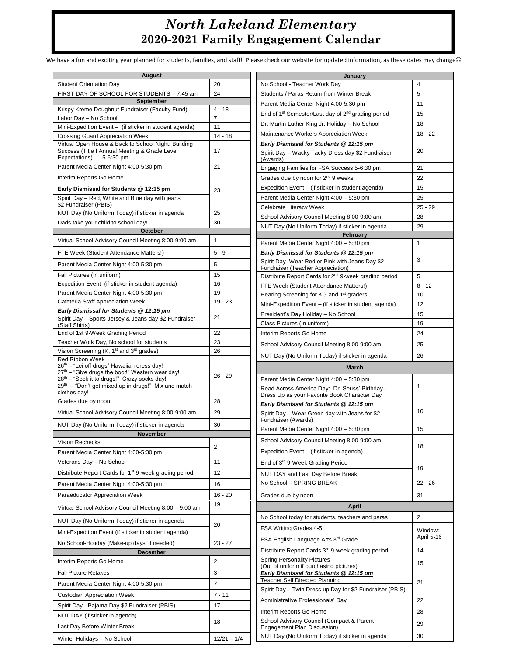## *North Lakeland Elementary* **2020-2021 Family Engagement Calendar**

We have a fun and exciting year planned for students, families, and staff! Please check our website for updated information, as these dates may change@

| August                                                                                                                |                         | January                                                                                                |                |
|-----------------------------------------------------------------------------------------------------------------------|-------------------------|--------------------------------------------------------------------------------------------------------|----------------|
| <b>Student Orientation Day</b>                                                                                        | 20                      | No School - Teacher Work Day                                                                           | 4              |
| FIRST DAY OF SCHOOL FOR STUDENTS - 7:45 am                                                                            | 24                      | Students / Paras Return from Winter Break                                                              | 5              |
| September                                                                                                             |                         | Parent Media Center Night 4:00-5:30 pm                                                                 | 11             |
| Krispy Kreme Doughnut Fundraiser (Faculty Fund)                                                                       | $4 - 18$                | End of 1 <sup>st</sup> Semester/Last day of 2 <sup>nd</sup> grading period                             | 15             |
| Labor Day - No School                                                                                                 | $\overline{7}$          |                                                                                                        | 18             |
| Mini-Expedition Event - (if sticker in student agenda)                                                                | 11                      | Dr. Martin Luther King Jr. Holiday - No School                                                         |                |
| Crossing Guard Appreciation Week                                                                                      | $14 - 18$               | Maintenance Workers Appreciation Week                                                                  | $18 - 22$      |
| Virtual Open House & Back to School Night: Building<br>Success (Title I Annual Meeting & Grade Level                  | 17                      | Early Dismissal for Students @ 12:15 pm                                                                | 20             |
| Expectations)<br>5-6:30 pm                                                                                            |                         | Spirit Day - Wacky Tacky Dress day \$2 Fundraiser<br>(Awards)                                          |                |
| Parent Media Center Night 4:00-5:30 pm                                                                                | 21                      | Engaging Families for FSA Success 5-6:30 pm                                                            | 21             |
| Interim Reports Go Home                                                                                               |                         | Grades due by noon for 2 <sup>nd</sup> 9 weeks                                                         | 22             |
| Early Dismissal for Students @ 12:15 pm                                                                               | 23                      | Expedition Event - (if sticker in student agenda)                                                      | 15             |
| Spirit Day - Red, White and Blue day with jeans                                                                       |                         | Parent Media Center Night 4:00 - 5:30 pm                                                               | 25             |
| \$2 Fundraiser (PBIS)                                                                                                 |                         | Celebrate Literacy Week                                                                                | $25 - 29$      |
| NUT Day (No Uniform Today) if sticker in agenda                                                                       | 25                      | School Advisory Council Meeting 8:00-9:00 am                                                           | 28             |
| Dads take your child to school day!                                                                                   | 30                      | NUT Day (No Uniform Today) if sticker in agenda                                                        | 29             |
| October<br>February                                                                                                   |                         |                                                                                                        |                |
| Virtual School Advisory Council Meeting 8:00-9:00 am                                                                  | 1                       | Parent Media Center Night 4:00 - 5:30 pm                                                               | $\mathbf{1}$   |
| FTE Week (Student Attendance Matters!)                                                                                | $5 - 9$                 | Early Dismissal for Students @ 12:15 pm                                                                |                |
| Parent Media Center Night 4:00-5:30 pm                                                                                | 5                       | Spirit Day- Wear Red or Pink with Jeans Day \$2                                                        | 3              |
| Fall Pictures (In uniform)                                                                                            | 15                      | Fundraiser (Teacher Appreciation)<br>Distribute Report Cards for 2 <sup>nd</sup> 9-week grading period | 5              |
| Expedition Event (if sticker in student agenda)                                                                       | 16                      | FTE Week (Student Attendance Matters!)                                                                 | $8 - 12$       |
| Parent Media Center Night 4:00-5:30 pm                                                                                | 19                      | Hearing Screening for KG and 1 <sup>st</sup> graders                                                   | 10             |
| Cafeteria Staff Appreciation Week                                                                                     | $19 - 23$               | Mini-Expedition Event - (if sticker in student agenda)                                                 | 12             |
| Early Dismissal for Students @ 12:15 pm                                                                               |                         | President's Day Holiday - No School                                                                    | 15             |
| Spirit Day - Sports Jersey & Jeans day \$2 Fundraiser                                                                 | 21                      | Class Pictures (In uniform)                                                                            | 19             |
| (Staff Shirts)<br>End of 1st 9-Week Grading Period                                                                    | 22                      | Interim Reports Go Home                                                                                | 24             |
| Teacher Work Day, No school for students                                                                              | 23                      |                                                                                                        |                |
| Vision Screening (K, 1 <sup>st</sup> and 3 <sup>rd</sup> grades)                                                      | 26                      | School Advisory Council Meeting 8:00-9:00 am                                                           | 25             |
| <b>Red Ribbon Week</b>                                                                                                |                         | NUT Day (No Uniform Today) if sticker in agenda                                                        | 26             |
| 26 <sup>th</sup> – "Lei off drugs" Hawaiian dress day!<br>27 <sup>th</sup> – "Give drugs the boot!" Western wear day! |                         | March                                                                                                  |                |
| $28th$ – "Sock it to drugs!" Crazy socks day!                                                                         | $26 - 29$               | Parent Media Center Night 4:00 - 5:30 pm                                                               |                |
| $29th$ – "Don't get mixed up in drugs!" Mix and match                                                                 |                         | Read Across America Day: Dr. Seuss' Birthday-                                                          | 1              |
| clothes day!<br>Grades due by noon                                                                                    | 28                      | Dress Up as your Favorite Book Character Day                                                           |                |
| Virtual School Advisory Council Meeting 8:00-9:00 am                                                                  | 29                      | Early Dismissal for Students @ 12:15 pm                                                                | 10             |
|                                                                                                                       |                         | Spirit Day - Wear Green day with Jeans for \$2<br>Fundraiser (Awards)                                  |                |
| NUT Day (No Uniform Today) if sticker in agenda                                                                       | 30                      | Parent Media Center Night 4:00 - 5:30 pm                                                               | 15             |
| <b>November</b><br>Vision Rechecks                                                                                    |                         | School Advisory Council Meeting 8:00-9:00 am                                                           |                |
| Parent Media Center Night 4:00-5:30 pm                                                                                | $\overline{\mathbf{c}}$ | Expedition Event - (if sticker in agenda)                                                              | 18             |
| Veterans Day - No School                                                                                              | 11                      |                                                                                                        |                |
|                                                                                                                       |                         | End of 3 <sup>rd</sup> 9-Week Grading Period                                                           | 19             |
| Distribute Report Cards for 1 <sup>st</sup> 9-week grading period                                                     | 12                      | NUT DAY and Last Day Before Break                                                                      |                |
| Parent Media Center Night 4:00-5:30 pm                                                                                | 16                      | No School - SPRING BREAK                                                                               | $22 - 26$      |
| Paraeducator Appreciation Week                                                                                        | $16 - 20$               | Grades due by noon                                                                                     | 31             |
| Virtual School Advisory Council Meeting 8:00 - 9:00 am                                                                | 19                      | <b>April</b>                                                                                           |                |
| NUT Day (No Uniform Today) if sticker in agenda                                                                       | 20                      | No School today for students, teachers and paras                                                       | $\overline{2}$ |
| Mini-Expedition Event (if sticker in student agenda)                                                                  |                         | FSA Writing Grades 4-5                                                                                 | Window:        |
| No School-Holiday (Make-up days, if needed)                                                                           | $23 - 27$               | FSA English Language Arts 3rd Grade                                                                    | April 5-16     |
| <b>December</b>                                                                                                       |                         | Distribute Report Cards 3rd 9-week grading period                                                      | 14             |
| Interim Reports Go Home                                                                                               | $\overline{2}$          | <b>Spring Personality Pictures</b><br>(Out of uniform if purchasing pictures)                          | 15             |
| <b>Fall Picture Retakes</b>                                                                                           | 3                       | Early Dismissal for Students @ 12:15 pm                                                                |                |
| Parent Media Center Night 4:00-5:30 pm                                                                                | $\overline{7}$          | <b>Teacher Self Directed Planning</b>                                                                  | 21             |
| <b>Custodian Appreciation Week</b>                                                                                    | $7 - 11$                | Spirit Day - Twin Dress up Day for \$2 Fundraiser (PBIS)                                               |                |
| Spirit Day - Pajama Day \$2 Fundraiser (PBIS)                                                                         | 17                      | Administrative Professionals' Day                                                                      | 22             |
| NUT DAY (if sticker in agenda)                                                                                        |                         | Interim Reports Go Home                                                                                | 28             |
| Last Day Before Winter Break                                                                                          | 18                      | School Advisory Council (Compact & Parent<br>Engagement Plan Discussion)                               | 29             |
| Winter Holidays - No School                                                                                           | $12/21 - 1/4$           | NUT Day (No Uniform Today) if sticker in agenda                                                        | 30             |
|                                                                                                                       |                         |                                                                                                        |                |